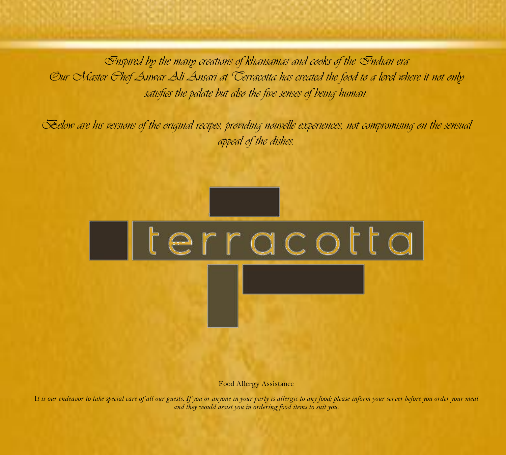*Inspired by the many creations of khansamas and cooks of the Indian era Our Master Chef Anwar Ali Ansari at Terracotta has created the food to a level where it not only satisfies the palate but also the five senses of being human.*

*Below are his versions of the original recipes, providing nouvelle experiences, not compromising on the sensual appeal of the dishes.*



Food Allergy Assistance

I*t is our endeavor to take special care of all our guests. If you or anyone in your party is allergic to any food; please inform your server before you order your meal and they would assist you in ordering food items to suit you.*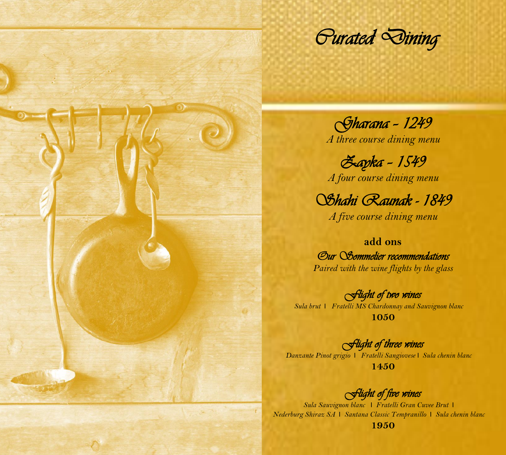*Curated Dining* 

*Gharana – 1249 A three course dining menu*

*Zayka – 1549 A four course dining menu*

*Shahi Raunak - 1849* 

*A five course dining menu*

**add ons** *Our Sommelier recommendations Paired with the wine flights by the glass*

*Flight of two wines Sula brut* I *Fratelli MS Chardonnay and Sauvignon blanc*  **1050**

*Flight of three wines Danzante Pinot grigio* I *Fratelli Sangiovese* I *Sula chenin blanc* **1450**

*Flight of five wines* 

*Sula Sauvignon blanc* I *Fratelli Gran Cuvee Brut* I *Nederburg Shiraz SA* I *Santana Classic Tempranillo* I *Sula chenin blanc* **1950**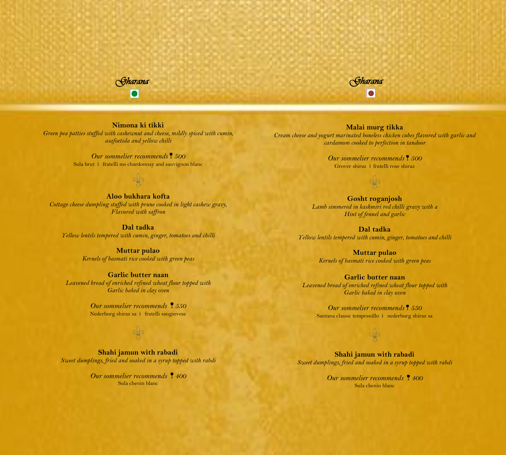



**Nimona ki tikki** *Green pea patties stuffed with cashewnut and cheese, mildly spiced with cumin, asafoetida and yellow chilli*

> *Our sommelier recommends 500* Sula brut i fratelli ms chardonnay and sauvignon blanc

**Aloo bukhara kofta** *Cottage cheese dumpling stuffed with prune cooked in light cashew gravy, Flavored with saffron*

**Dal tadka** *Yellow lentils tempered with cumin, ginger, tomatoes and chilli*

> **Muttar pulao** *Kernels of basmati rice cooked with green peas*

**Garlic butter naan** *Leavened bread of enriched refined wheat flour topped with Garlic baked in clay oven*

> *Our sommelier recommends 550* Nederburg shiraz sa i fratelli sangiovese

**Shahi jamun with rabadi** *Sweet dumplings, fried and soaked in a syrup topped with rabdi*

> *Our sommelier recommends 400* Sula chenin blanc

**Malai murg tikka** *Cream cheese and yogurt marinated boneless chicken cubes flavored with garlic and cardamom cooked to perfection in tandoor*

> *Our sommelier recommends 500* Grover shiraz i fratelli rose shiraz

> > ojo

**Gosht roganjosh** *Lamb simmered in kashmiri red chilli gravy with a Hint of fennel and garlic*

**Dal tadka** *Yellow lentils tempered with cumin, ginger, tomatoes and chilli*

> **Muttar pulao** *Kernels of basmati rice cooked with green peas*

**Garlic butter naan** *Leavened bread of enriched refined wheat flour topped with Garlic baked in clay oven*

*Our sommelier recommends 550* Santana classic tempranillo i nederburg shiraz sa

#### **Shahi jamun with rabadi** *Sweet dumplings, fried and soaked in a syrup topped with rabdi*

*Our sommelier recommends 400* Sula chenin blanc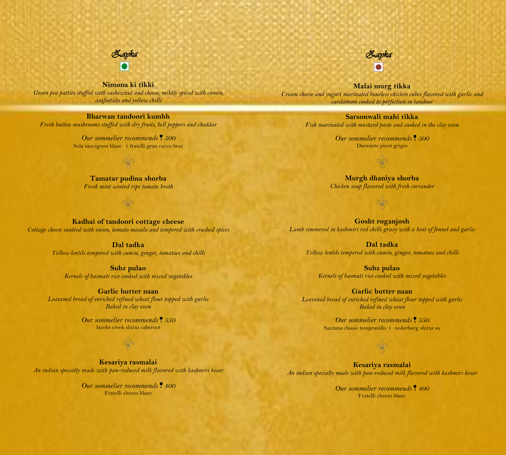

**Nimona ki tikki** *Green pea patties stuffed with cashewnut and cheese, mildly spiced with cumin, asafoetida and yellow chilli*

**Bharwan tandoori kumbh** *Fresh button mushrooms stuffed with dry fruits, bell peppers and cheddar*

> *Our sommelier recommends 500* Sula sauvignon blanc i fratelli gran cuvee brut

**Tamatar pudina shorba** *Fresh mint scented ripe tomato broth*

**Kadhai of tandoori cottage cheese** *Cottage cheese sautéed with onion, tomato masala and tempered with crushed spices*

> **Dal tadka** *Yellow lentils tempered with cumin, ginger, tomatoes and chilli*

**Subz pulao** *Kernels of basmati rice cooked with mixed vegetables*

**Garlic butter naan** *Leavened bread of enriched refined wheat flour topped with garlic Baked in clay oven*

> *Our sommelier recommends 550* Jacobs creek shiraz cabernet

**Kesariya rasmalai** *An indian specialty made with pan-reduced milk flavored with kashmiri kesar*

> *Our sommelier recommends 400* Fratelli chenin blanc

**Malai murg tikka** *Cream cheese and yogurt marinated boneless chicken cubes flavored with garlic and cardamom cooked to perfection in tandoor*

> **Sarsonwali mahi tikka** *Fish marinated with mustard paste and cooked in the clay oven*

> > *Our sommelier recommends 500* Danzante pinot grigio

**Murgh dhaniya shorba** *Chicken soup flavored with fresh coriander*

**Gosht roganjosh** *Lamb simmered in kashmiri red chilli gravy with a hint of fennel and garlic*

**Dal tadka** *Yellow lentils tempered with cumin, ginger, tomatoes and chilli*

**Subz pulao** *Kernels of basmati rice cooked with mixed vegetables*

**Garlic butter naan** *Leavened bread of enriched refined wheat flour topped with garlic Baked in clay oven*

> *Our sommelier recommends 550* Santana classic tempranillo i nederburg shiraz sa

**Kesariya rasmalai** *An indian specialty made with pan-reduced milk flavored with kashmiri kesar*

> *Our sommelier recommends 400* Fratelli chenin blanc

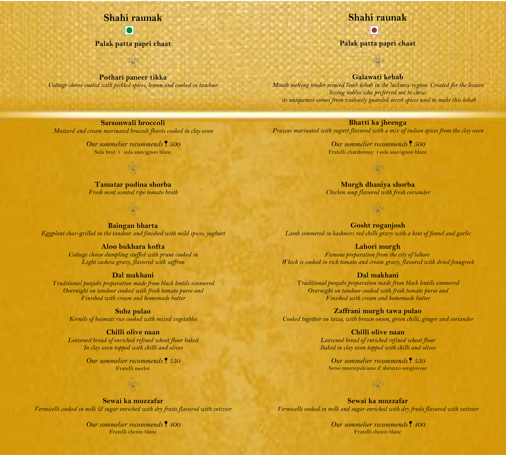# **Shahi raunak** `

**Palak patta papri chaat**

**Pothari paneer tikka** *Cottage cheese coated with pickled spices, lemon and cooked in tandoor*

# **Shahi raunak**

**Palak patta papri chaat**

**Galawati kebab**

*Mouth melting tender minced lamb kebab in the lucknow region. Created for the leisure loving nobles who preferred not to chew. its uniqueness comes from zealously guarded secret spices used to make this kebab*

#### **Bhatti ka jheenga**

*Prawns marinated with yogurt flavored with a mix of indian spices from the clay oven*

*Our sommelier recommends 500* Fratelli chardonnay i sula sauvignon blanc

**Murgh dhaniya shorba** *Chicken soup flavored with fresh coriander*

**Gosht roganjosh** *Lamb simmered in kashmiri red chilli gravy with a hint of fennel and garlic*

**Lahori murgh** *Famous preparation from the city of [lahore](https://en.wikipedia.org/wiki/Lahore)*

*Which is cooked in rich tomato and cream gravy, flavored with dried fenugreek*

**Dal makhani** *Traditional punjabi preparation made from black lentils simmered Overnight on tandoor cooked with fresh tomato puree and Finished with cream and homemade butter*

**Zaffrani murgh tawa pulao** *Cooked together on tawa, with brown onion, green chilli, ginger and coriander*

> **Chilli olive naan** *Leavened bread of enriched refined wheat flour Baked in clay oven topped with chilli and olives*

*Our sommelier recommends 550* Sensi montepulciano d' abruzzo sangiovese

**Sewai ka muzzafar** *Vermicelli cooked in milk and sugar enriched with dry fruits flavored with vetivier*

> *Our sommelier recommends 400* Fratelli chenin blanc

**Sarsonwali broccoli** *Mustard and cream marinated broccoli florets cooked in clay oven*

> *Our sommelier recommends 500* Sula brut i sula sauvignon blanc

**Tamatar pudina shorba** *Fresh mint scented ripe tomato broth*

**Baingan bharta** *Eggplant char-grilled in the tandoor and finished with mild spices, yoghurt*

**Aloo bukhara kofta**

*Cottage cheese dumpling stuffed with prune cooked in Light cashew gravy, flavored with saffron*

#### **Dal makhani**

*Traditional punjabi preparation made from black lentils simmered Overnight on tandoor cooked with fresh tomato puree and Finished with cream and homemade butter*

**Subz pulao**

*Kernels of basmati rice cooked with mixed vegetables*

#### **Chilli olive naan**

*Leavened bread of enriched refined wheat flour baked In clay oven topped with chilli and olives*

> *Our sommelier recommends 550* Fratelli merlot

**Sewai ka muzzafar** *Vermicelli cooked in milk & sugar enriched with dry fruits flavored with vetivier*

> *Our sommelier recommends 400* Fratelli chenin blanc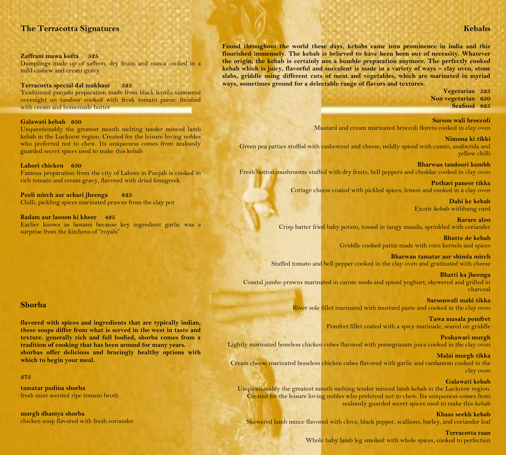## **The Terracotta Signatures**

#### **Zaffrani mawa kofta 525**

Dumplings made up of saffron, dry fruits and mawa cooked in a mild cashew and cream gravy

**Terracotta special dal makhani 525**

Traditional punjabi preparation made from black lentils simmered overnight on tandoor cooked with fresh tomato puree, finished with cream and homemade butter

#### **Galawati kebab 650**

Unquestionably the greatest mouth melting tender minced lamb kebab in the Lucknow region. Created for the leisure loving nobles who preferred not to chew. Its uniqueness comes from zealously guarded secret spices used to make this kebab

#### **Lahori chicken 650**

Famous preparation from the city of [Lahore](https://en.wikipedia.org/wiki/Lahore) in Punjab is cooked in rich tomato and cream gravy, flavored with dried fenugreek

**Peeli mirch aur achari jheenga 825** Chilli, pickling spices marinated prawns from the clay pot

**Badam aur lasoon ki kheer 425**

Earlier knows as benami because key ingredient garlic was a surprise from the kitchens of "royals"

#### **Shorba**

**flavored with spices and ingredients that are typically indian, these soups differ from what is served in the west in taste and texture. generally rich and full bodied, shorba comes from a tradition of cooking that has been around for many years. shorbas offer delicious and bracingly healthy options with which to begin your meal.**

#### **375**

**tamatar pudina shorba** fresh mint scented ripe tomato broth

**murgh dhaniya shorba** chicken soup flavored with fresh coriander **Found throughout the world these days, kebabs came into prominence in india and this flourished immensely. The kebab is believed to have been born out of necessity. Whatever the origin, the kebab is certainly not a humble preparation anymore. The perfectly cooked**  kebab which is juicy, flavorful and succulent is made in a variety of ways - clay oven, stone **slabs, griddle using different cuts of meat and vegetables, which are marinated in myriad ways, sometimes ground for a delectable range of flavors and textures.**

> **Vegetarian 525 Non vegetarian 650 Seafood 825**

**Sarson wali broccoli** Mustard and cream marinated broccoli florets cooked in clay oven

**Nimona ki tikki** Green pea patties stuffed with cashewnut and cheese, mildly spiced with cumin, asafoetida and yellow chilli

**Bharwan tandoori kumbh** Fresh button mushrooms stuffed with dry fruits, bell peppers and cheddar cooked in clay oven

> **Pothari paneer tikka** Cottage cheese coated with pickled spices, lemon and cooked in a clay oven

> > **Dahi ke kebab** Exotic kebab withhung curd

**Karare aloo** Crisp batter fried baby potato, tossed in tangy masala, sprinkled with coriander

> **Bhutte de kebab** Griddle cooked pattie made with corn kernels and spices

**Bharwan tamatar aur shimla mirch** Stuffed tomato and bell pepper cooked in the clay oven and gratinated with cheese

**Bhatti ka jheenga** Coastal jumbo prawns marinated in carom seeds and spiced yoghurt, skewered and grilled in charcoal

> **Sarsonwali mahi tikka** River sole fillet marinated with mustard paste and cooked in the clay oven

> > **Tawa masala pomfret** Pomfret fillet coated with a spicy marinade, seared on griddle

**Peshawari murgh** Lightly marinated boneless chicken cubes flavored with pomegranate juice cooked in the clay oven

**Malai murgh tikka** Cream cheese marinated boneless chicken cubes flavored with garlic and cardamom cooked in the clay oven

#### **Galawati kebab**

Unquestionably the greatest mouth melting tender minced lamb kebab in the Lucknow region. Created for the leisure loving nobles who preferred not to chew. Its uniqueness comes from zealously guarded secret spices used to make this kebab

**Khaas seekh kebab**

Skewered lamb mince flavored with clove, black pepper, scallions, barley, and coriander leaf

**Terracotta raan**

Whole baby lamb leg smoked with whole spices, cooked to perfection

#### **Kebabs**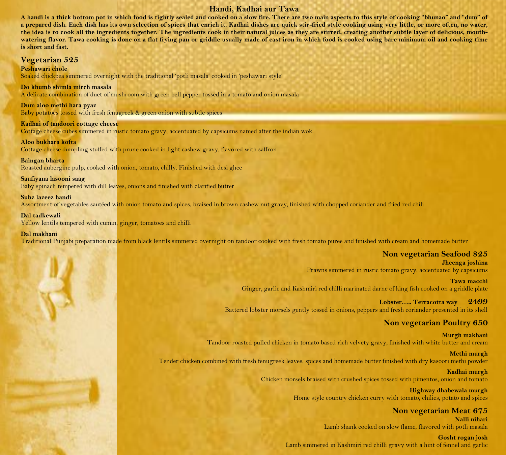## **Handi, Kadhai aur Tawa**

` **A handi is a thick bottom pot in which food is tightly sealed and cooked on a slow fire. There are two main aspects to this style of cooking "bhunao" and "dum" of a prepared dish. Each dish has its own selection of spices that enrich it. Kadhai dishes are quick stir-fried style cooking using very little, or more often, no water, the idea is to cook all the ingredients together. The ingredients cook in their natural juices as they are stirred, creating another subtle layer of delicious, mouthwatering flavor. Tawa cooking is done on a flat frying pan or griddle usually made of cast iron in which food is cooked using bare minimum oil and cooking time is short and fast.**

#### **Vegetarian 525**

**Peshawari chole**

Soaked chickpea simmered overnight with the traditional 'potli masala' cooked in 'peshawari style'

#### **Do khumb shimla mirch masala**

A delicate combination of duet of mushroom with green bell pepper tossed in a tomato and onion masala

**Dum aloo methi hara pyaz**

Baby potatoes tossed with fresh fenugreek & green onion with subtle spices

#### **Kadhai of tandoori cottage cheese**

Cottage cheese cubes simmered in rustic tomato gravy, accentuated by capsicums named after the indian wok.

#### **Aloo bukhara kofta**

Cottage cheese dumpling stuffed with prune cooked in light cashew gravy, flavored with saffron

#### **Baingan bharta**

Roasted aubergine pulp, cooked with onion, tomato, chilly. Finished with desi ghee

#### **Saufiyana lasooni saag**

Baby spinach tempered with dill leaves, onions and finished with clarified butter

#### **Subz lazeez handi**

Assortment of vegetables sautéed with onion tomato and spices, braised in brown cashew nut gravy, finished with chopped coriander and fried red chili

#### **Dal tadkewali**

Yellow lentils tempered with cumin, ginger, tomatoes and chilli

#### **Dal makhani**

Traditional Punjabi preparation made from black lentils simmered overnight on tandoor cooked with fresh tomato puree and finished with cream and homemade butter

## **Non vegetarian Seafood 825**

**Jheenga joshina** Prawns simmered in rustic tomato gravy, accentuated by capsicums

**Tawa macchi** Ginger, garlic and Kashmiri red chilli marinated darne of king fish cooked on a griddle plate

#### **Lobster….. Terracotta way 2499** Battered lobster morsels gently tossed in onions, peppers and fresh coriander presented in its shell

# **Non vegetarian Poultry 650**

**Murgh makhani** Tandoor roasted pulled chicken in tomato based rich velvety gravy, finished with white butter and cream

**Methi murgh** Tender chicken combined with fresh fenugreek leaves, spices and homemade butter finished with dry kasoori methi powder

#### **Kadhai murgh** Chicken morsels braised with crushed spices tossed with pimentos, onion and tomato

**Highway dhabewala murgh** Home style country chicken curry with tomato, chilies, potato and spices

# **Non vegetarian Meat 675**

**Nalli nihari** Lamb shank cooked on slow flame, flavored with potli masala

#### **Gosht rogan josh** Lamb simmered in Kashmiri red chilli gravy with a hint of fennel and garlic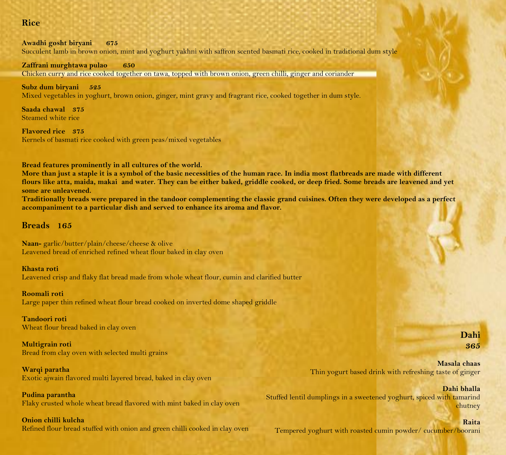# $\bf{Rice}$  . The contract of the contract of the contract of the contract of the contract of the contract of the contract of the contract of the contract of the contract of the contract of the contract of the contract of the

**Awadhi gosht biryani 675** Succulent lamb in brown onion, mint and yoghurt yakhni with saffron scented basmati rice, cooked in traditional dum style

**Zaffrani murghtawa pulao 650** Chicken curry and rice cooked together on tawa, topped with brown onion, green chilli, ginger and coriander

**Subz dum biryani 525** Mixed vegetables in yoghurt, brown onion, ginger, mint gravy and fragrant rice, cooked together in dum style.

**Saada chawal 375** Steamed white rice

**Flavored rice 375** Kernels of basmati rice cooked with green peas/mixed vegetables

**Bread features prominently in all cultures of the world.**

**More than just a staple it is a symbol of the basic necessities of the human race. In india most flatbreads are made with different flours like atta, maida, makai and water. They can be either baked, griddle cooked, or deep fried. Some breads are leavened and yet some are unleavened.**

**Traditionally breads were prepared in the tandoor complementing the classic grand cuisines. Often they were developed as a perfect accompaniment to a particular dish and served to enhance its aroma and flavor.**

# **Breads 165**

**Naan-** garlic/butter/plain/cheese/cheese & olive Leavened bread of enriched refined wheat flour baked in clay oven

# **Khasta roti**

Leavened crisp and flaky flat bread made from whole wheat flour, cumin and clarified butter

#### **Roomali roti**

Large paper thin refined wheat flour bread cooked on inverted dome shaped griddle

#### **Tandoori roti** Wheat flour bread baked in clay oven

**Multigrain roti** Bread from clay oven with selected multi grains

# **Warqi paratha**

Exotic ajwain flavored multi layered bread, baked in clay oven

# **Pudina parantha**

Flaky crusted whole wheat bread flavored with mint baked in clay oven

## **Onion chilli kulcha**

Refined flour bread stuffed with onion and green chilli cooked in clay oven

**Masala chaas** Thin yogurt based drink with refreshing taste of ginger

**Dahi bhalla** Stuffed lentil dumplings in a sweetened yoghurt, spiced with tamarind chutney

# **Raita**

Tempered yoghurt with roasted cumin powder/ cucumber/boorani

# **Dahi 365**